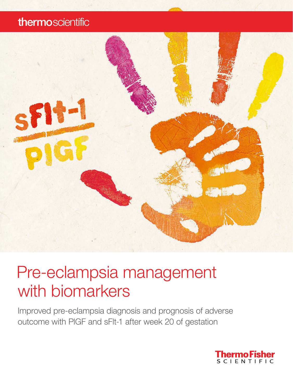## thermoscientific



# Pre-eclampsia management with biomarkers

Improved pre-eclampsia diagnosis and prognosis of adverse outcome with PlGF and sFlt-1 after week 20 of gestation

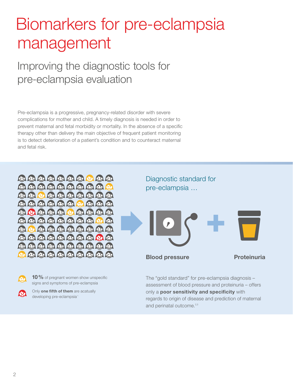# Biomarkers for pre-eclampsia management

## Improving the diagnostic tools for pre-eclampsia evaluation

Pre-eclampsia is a progressive, pregnancy-related disorder with severe complications for mother and child. A timely diagnosis is needed in order to prevent maternal and fetal morbidity or mortality. In the absence of a specific therapy other than delivery the main objective of frequent patient monitoring is to detect deterioration of a patient's condition and to counteract maternal and fetal risk.





10% of pregnant women show unspecific signs and symptoms of pre-eclampsia



Only one fifth of them are acatually developing pre-eclampsia<sup>1</sup>

Diagnostic standard for pre-eclampsia …



The "gold standard" for pre-eclampsia diagnosis – assessment of blood pressure and proteinuria – offers only a poor sensitivity and specificity with regards to origin of disease and prediction of maternal and perinatal outcome.<sup>2,3</sup>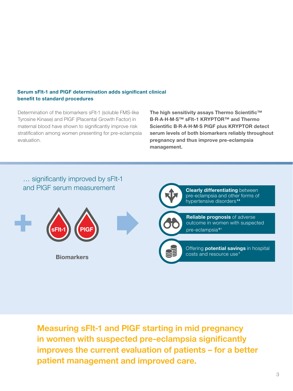### Serum sFlt-1 and PlGF determination adds significant clinical benefit to standard procedures

Determination of the biomarkers sFlt-1 (soluble FMS-like Tyrosine Kinase) and PlGF (Placental Growth Factor) in maternal blood have shown to significantly improve risk stratification among women presenting for pre-eclampsia evaluation.

The high sensitivity assays Thermo Scientific™ B·R·A·H·M·S™ sFlt-1 KRYPTOR™ and Thermo Scientific B·R·A·H·M·S PlGF plus KRYPTOR detect serum levels of both biomarkers reliably throughout pregnancy and thus improve pre-eclampsia management.



Measuring sFlt-1 and PlGF starting in mid pregnancy in women with suspected pre-eclampsia significantly improves the current evaluation of patients – for a better patient management and improved care.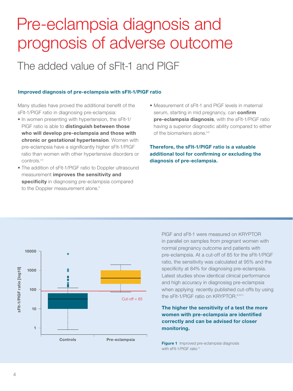# Pre-eclampsia diagnosis and prognosis of adverse outcome

## The added value of sFlt-1 and PlGF

### Improved diagnosis of pre-eclampsia with sFlt-1/PlGF ratio

Many studies have proved the additional benefit of the sFlt-1/PlGF ratio in diagnosing pre-eclampsia:

- In women presenting with hypertension, the sFlt-1/ PIGF ratio is able to distinguish between those who will develop pre-eclampsia and those with chronic or gestational hypertension. Women with pre-eclampsia have a significantly higher sFlt-1/PlGF ratio than women with other hypertensive disorders or controls.4,5
- The addition of sFlt-1/PlGF ratio to Doppler ultrasound measurement improves the sensitivity and specificity in diagnosing pre-eclampsia compared to the Doppler measurement alone.<sup>8</sup>
- Measurement of sFlt-1 and PlGF levels in maternal serum, starting in mid pregnancy, can confirm pre-eclampsia diagnosis, with the sFlt-1/PIGF ratio having a superior diagnostic ability compared to either of the biomarkers alone.<sup>8,9</sup>

Therefore, the sFlt-1/PlGF ratio is a valuable additional tool for confirming or excluding the diagnosis of pre-eclampsia.



PlGF and sFlt-1 were measured on KRYPTOR in parallel on samples from pregnant women with normal pregnancy outcome and patients with pre-eclampsia. At a cut-off of 85 for the sFlt-1/PlGF ratio, the sensitivity was calculated at 95% and the specificity at 84% for diagnosing pre-eclampsia. Latest studies show identical clinical performance and high accuracy in diagnosisg pre-eclampsia when applying recently published cut-offs by using the sFIt-1/PIGF ratio on KRYPTOR.<sup>6,10,11</sup>

### The higher the sensitivity of a test the more women with pre-eclampsia are identified correctly and can be advised for closer monitoring.

Figure 1 Improved pre-eclampsia diagnosis with sFlt-1/PIGF ratio<sup>12</sup>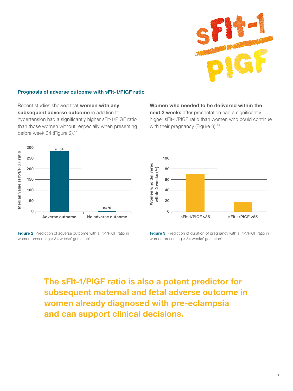

### Prognosis of adverse outcome with sFlt-1/PlGF ratio

Recent studies showed that **women with any** subsequent adverse outcome in addition to hypertension had a significantly higher sFlt-1/PlGF ratio than those women without, especially when presenting before week 34 (Figure 2).<sup>5,6</sup>

#### Women who needed to be delivered within the

next 2 weeks after presentation had a significantly higher sFlt-1/PlGF ratio than women who could continue with their pregnancy (Figure 3).<sup>5,6</sup>



Figure 2 Prediction of adverse outcome with sFlt-1/PIGF ratio in women presenting  $<$  34 weeks' gestation $<sup>6</sup>$ </sup>



Figure 3 Prediction of duration of pregnancy with sFlt-1/PIGF ratio in women presenting  $<$  34 weeks' gestation $<sup>6</sup>$ </sup>

The sFlt-1/PlGF ratio is also a potent predictor for subsequent maternal and fetal adverse outcome in women already diagnosed with pre-eclampsia and can support clinical decisions.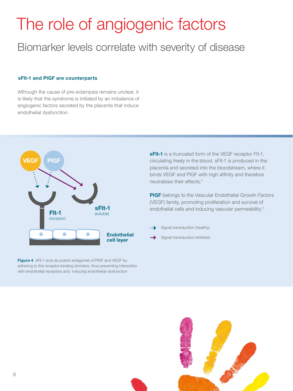# The role of angiogenic factors

## Biomarker levels correlate with severity of disease

#### sFlt-1 and PlGF are counterparts

Although the cause of pre-eclampsia remains unclear, it is likely that the syndrome is initiated by an imbalance of angiogenic factors secreted by the placenta that induce endothelial dysfunction.



Figure 4 sFlt-1 acts as potent antagonist of PIGF and VEGF by adhering to the receptor-binding domains, thus preventing interaction with endothelial receptors and inducing endothelial dysfunction

**sFIt-1** is a truncated form of the VEGF receptor FIt-1, circulating freely in the blood. sFlt-1 is produced in the placenta and secreted into the bloodstream, where it binds VEGF and PlGF with high affinity and therefore neutralizes their effects.<sup>8</sup>

**PIGF** belongs to the Vascular Endothelial Growth Factors (VEGF) family, promoting proliferation and survival of endothelial cells and inducing vascular permeability.<sup>13</sup>

- Signal transduction (healthy)
- Signal transduction inhibited

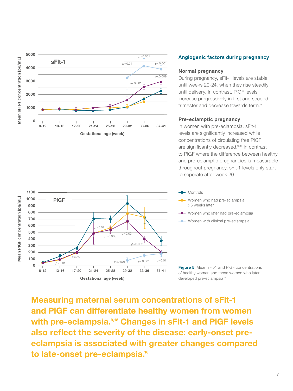

#### 1100 Mean PIGF concentration [pg/mL] Mean PlGF concentration [pg/mL] 1000 PlGF 900 800 700 600 *p*=0.02 500 *<sup>p</sup>*=0.003 *<sup>p</sup>*=0.03 400 300 *p*=0.002 200 *p*=0.01 100 *<sup>p</sup>*<0.001 *<sup>p</sup>*=0.01 *<sup>p</sup>*<0.001 *p*=0.01  $\Omega$ 8-12 13-16 17-20 21-24 25-28 29-32 33-36 37-41 Gestational age (week)

### Angiogenic factors during pregnancy

### Normal pregnancy

During pregnancy, sFlt-1 levels are stable until weeks 20-24, when they rise steadily until delivery. In contrast, PlGF levels increase progressively in first and second trimester and decrease towards term.<sup>13</sup>

### Pre-eclamptic pregnancy

In women with pre-eclampsia, sFlt-1 levels are significantly increased while concentrations of circulating free PlGF are significantly decreased.<sup>13,14</sup> In contrast to PlGF where the difference between healthy and pre-eclamptic pregnancies is measurable throughout pregnancy, sFlt-1 levels only start to seperate after week 20.



- **Women who had pre-eclampsia** >5 weeks later
- Women who later had pre-eclampsia
- **Women with clinical pre-eclampsia**

**Figure 5** Mean sFIt-1 and PIGF concentrations of healthy women and those women who later developed pre-eclampsia<sup>13</sup>

Measuring maternal serum concentrations of sFlt-1 and PlGF can differentiate healthy women from women with pre-eclampsia.<sup>9,15</sup> Changes in sFIt-1 and PIGF levels also reflect the severity of the disease: early-onset preeclampsia is associated with greater changes compared to late-onset pre-eclampsia.<sup>16</sup>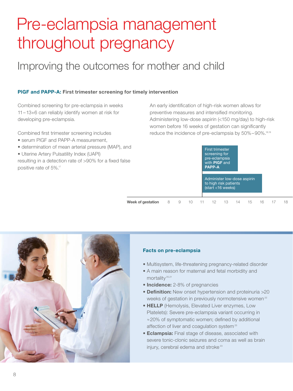# Pre-eclampsia management throughout pregnancy

## Improving the outcomes for mother and child

### PlGF and PAPP-A: First trimester screening for timely intervention

Combined screening for pre-eclampsia in weeks 11–13+6 can reliably identify women at risk for developing pre-eclampsia.

Combined first trimester screening includes

- serum PlGF and PAPP-A measurement,
- determination of mean arterial pressure (MAP), and
- Uterine Artery Pulsatility Index (UAPI)
- resulting in a detection rate of >90% for a fixed false positive rate of 5%.17

An early identification of high-risk women allows for preventive measures and intensified monitoring. Administering low-dose aspirin (<150 mg/day) to high-risk women before 16 weeks of gestation can significantly reduce the incidence of pre-eclampsia by 50%-90%.<sup>18,19</sup>

First trimester

| sе                          | . <b>. . .</b> .<br>screening for<br>pre-eclampsia<br>with <b>PIGF</b> and<br><b>PAPP-A</b>      |    |  |
|-----------------------------|--------------------------------------------------------------------------------------------------|----|--|
|                             | Administer low-dose aspirin<br>to high risk patients<br>$\sqrt{\text{start} - 16 \text{ weeks}}$ |    |  |
| Week of gestation<br>8<br>9 | 13<br>14<br>16.<br>15                                                                            | 18 |  |



### Facts on pre-eclampsia

- Multisystem, life-threatening pregnancy-related disorder
- A main reason for maternal and fetal morbidity and mortality<sup>20,21</sup>
- Incidence: 2-8% of pregnancies
- Definition: New onset hypertension and proteinuria >20 weeks of gestation in previously normotensive women<sup>22</sup>
- HELLP (Hemolysis, Elevated Liver enzymes, Low Platelets): Severe pre-eclampsia variant occurring in ≈20% of symptomatic women; defined by additional affection of liver and coagulation system<sup>23</sup>
- Eclampsia: Final stage of disease, associated with severe tonic-clonic seizures and coma as well as brain injury, cerebral edema and stroke<sup>23</sup>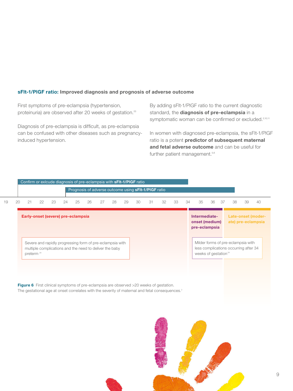### sFlt-1/PlGF ratio: Improved diagnosis and prognosis of adverse outcome

First symptoms of pre-eclampsia (hypertension, proteinuria) are observed after 20 weeks of gestation.<sup>23</sup>

Diagnosis of pre-eclampsia is difficult, as pre-eclampsia can be confused with other diseases such as pregnancyinduced hypertension.

By adding sFlt-1/PlGF ratio to the current diagnostic standard, the diagnosis of pre-eclampsia in a symptomatic woman can be confirmed or excluded.<sup>2,10,11</sup>

In women with diagnosed pre-eclampsia, the sFlt-1/PlGF ratio is a potent predictor of subsequent maternal and fetal adverse outcome and can be useful for further patient management.<sup>5,6</sup>



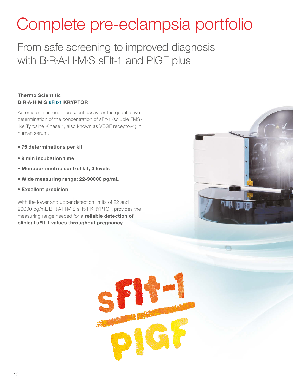# Complete pre-eclampsia portfolio

From safe screening to improved diagnosis with B·R·A·H·M·S sFlt-1 and PlGF plus

### Thermo Scientific B·R·A·H·M·S sFlt-1 KRYPTOR

Automated immunofluorescent assay for the quantitative determination of the concentration of sFlt-1 (soluble FMSlike Tyrosine Kinase 1, also known as VEGF receptor-1) in human serum.

- 75 determinations per kit
- 9 min incubation time
- Monoparametric control kit, 3 levels
- Wide measuring range: 22-90000 pg/mL
- Excellent precision

With the lower and upper detection limits of 22 and 90000 pg/mL B·R·A·H·M·S sFlt-1 KRYPTOR provides the measuring range needed for a reliable detection of clinical sFlt-1 values throughout pregnancy.



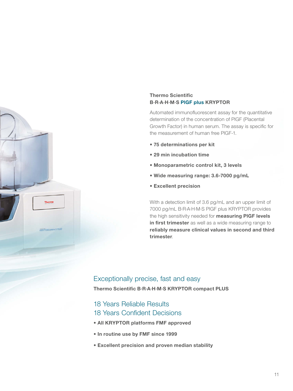

Automated immunofluorescent assay for the quantitative determination of the concentration of PlGF (Placental Growth Factor) in human serum. The assay is specific for the measurement of human free PlGF-1.

- 75 determinations per kit
- 29 min incubation time
- Monoparametric control kit, 3 levels
- Wide measuring range: 3.6-7000 pg/mL
- Excellent precision

With a detection limit of 3.6 pg/mL and an upper limit of 7000 pg/mL B·R·A·H·M·S PlGF plus KRYPTOR provides the high sensitivity needed for **measuring PIGF levels** in first trimester as well as a wide measuring range to reliably measure clinical values in second and third trimester.

### Exceptionally precise, fast and easy Thermo Scientific B·R·A·H·M·S KRYPTOR compact PLUS

### 18 Years Reliable Results 18 Years Confident Decisions

**VRYPTORCOMPACTPLUS** 

- All KRYPTOR platforms FMF approved
- In routine use by FMF since 1999
- Excellent precision and proven median stability